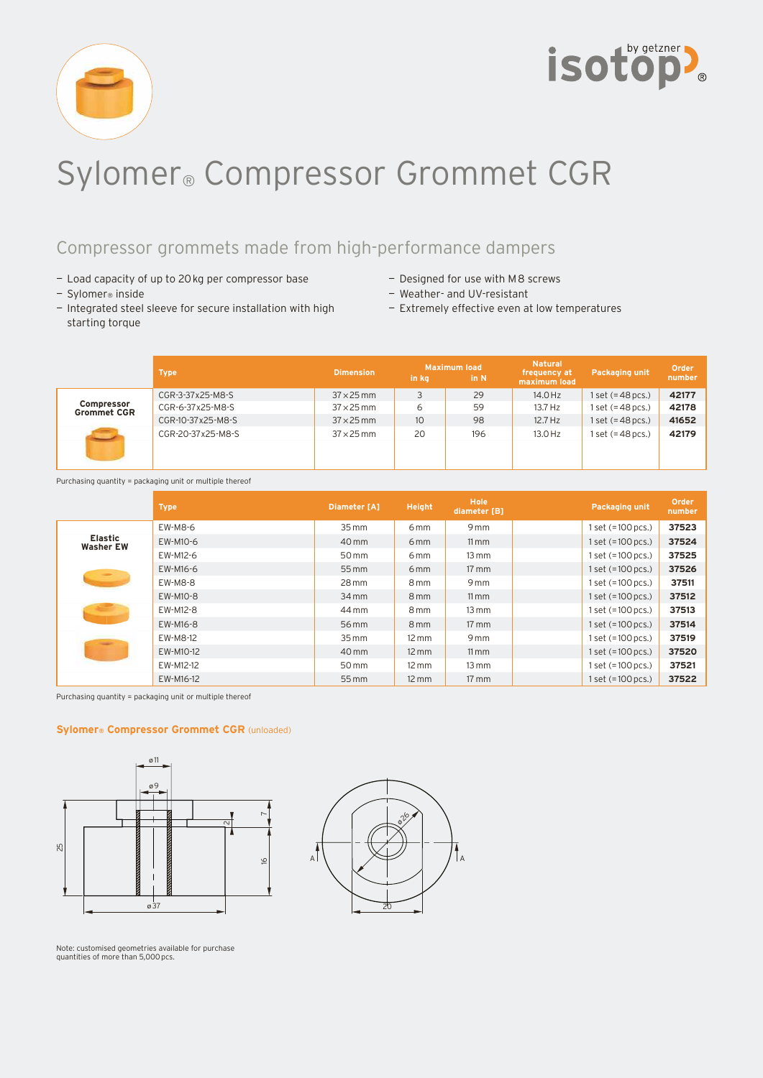



# Sylomer® Compressor Grommet CGR

## Compressor grommets made from high-performance dampers

- Load capacity of up to 20 kg per compressor base
- Sylomer® inside
- Integrated steel sleeve for secure installation with high starting torque
- Designed for use with M8 screws
- Weather- and UV-resistant
- Extremely effective even at low temperatures

|                                         | <b>Type</b>       | <b>Dimension</b>  | in kg            | <b>Maximum load</b><br>in N | <b>Natural</b><br>frequency at<br>maximum load | <b>Packaging unit</b> | Order<br>number |
|-----------------------------------------|-------------------|-------------------|------------------|-----------------------------|------------------------------------------------|-----------------------|-----------------|
| <b>Compressor</b><br><b>Grommet CGR</b> | CGR-3-37x25-M8-S  | $37 \times 25$ mm |                  | 29                          | 14.0 Hz                                        | $1 set (=48 pcs.)$    | 42177           |
|                                         | CGR-6-37x25-M8-S  | $37 \times 25$ mm | 6                | 59                          | 13.7 Hz                                        | 1 set (=48 pcs.)      | 42178           |
|                                         | CGR-10-37x25-M8-S | $37 \times 25$ mm | 10 <sup>10</sup> | 98                          | $12.7$ Hz                                      | $set (=48 pcs.)$      | 41652           |
|                                         | CGR-20-37x25-M8-S | $37 \times 25$ mm | 20               | 196                         | 13.0 Hz                                        | set (=48 pcs.)        | 42179           |
|                                         |                   |                   |                  |                             |                                                |                       |                 |

Purchasing quantity = packaging unit or multiple thereof

|                                    | <b>Type</b> | Diameter [A]       | Height            | <b>Hole</b><br>diameter [B] | <b>Packaging unit</b> | Order<br>number |
|------------------------------------|-------------|--------------------|-------------------|-----------------------------|-----------------------|-----------------|
| <b>Elastic</b><br><b>Washer EW</b> | EW-M8-6     | $35 \, \text{mm}$  | 6 <sub>mm</sub>   | 9 <sub>mm</sub>             | $1 set (=100 pcs.)$   | 37523           |
|                                    | EW-M10-6    | 40 mm              | 6 <sub>mm</sub>   | $11 \, \text{mm}$           | $1 set (=100 pcs.)$   | 37524           |
|                                    | EW-M12-6    | 50 mm              | 6 <sub>mm</sub>   | $13 \, \text{mm}$           | $1 set (=100 pcs.)$   | 37525           |
| <b>SILLER</b>                      | EW-M16-6    | 55 mm              | 6 <sub>mm</sub>   | $17 \text{ mm}$             | $1 set (=100 pcs.)$   | 37526           |
|                                    | EW-M8-8     | $28 \,\mathrm{mm}$ | 8 <sub>mm</sub>   | 9 <sub>mm</sub>             | $1 set (=100 pcs.)$   | 37511           |
|                                    | EW-M10-8    | $34$ mm            | 8 <sub>mm</sub>   | $11 \,\mathrm{mm}$          | $1 set (=100 pcs.)$   | 37512           |
|                                    | EW-M12-8    | 44 mm              | 8 <sub>mm</sub>   | $13 \, \text{mm}$           | 1 set (=100 pcs.)     | 37513           |
|                                    | EW-M16-8    | 56 mm              | 8 <sub>mm</sub>   | $17 \, \text{mm}$           | $1 set (=100 pcs.)$   | 37514           |
|                                    | EW-M8-12    | $35 \,\mathrm{mm}$ | $12 \text{ mm}$   | 9 <sub>mm</sub>             | $1 set (=100 pcs.)$   | 37519           |
|                                    | EW-M10-12   | 40 mm              | $12 \, \text{mm}$ | $11 \, \text{mm}$           | $1 set (=100 pcs.)$   | 37520           |
|                                    | EW-M12-12   | 50 mm              | $12 \text{ mm}$   | $13 \text{ mm}$             | $1 set (=100 pcs.)$   | 37521           |
|                                    | EW-M16-12   | 55 mm              | $12 \, \text{mm}$ | $17 \, \text{mm}$           | 1 set (=100 pcs.)     | 37522           |

Purchasing quantity = packaging unit or multiple thereof

#### **Sylomer® Compressor Grommet CGR** (unloaded)





Note: customised geometries available for purchase quantities of more than 5,000 pcs.